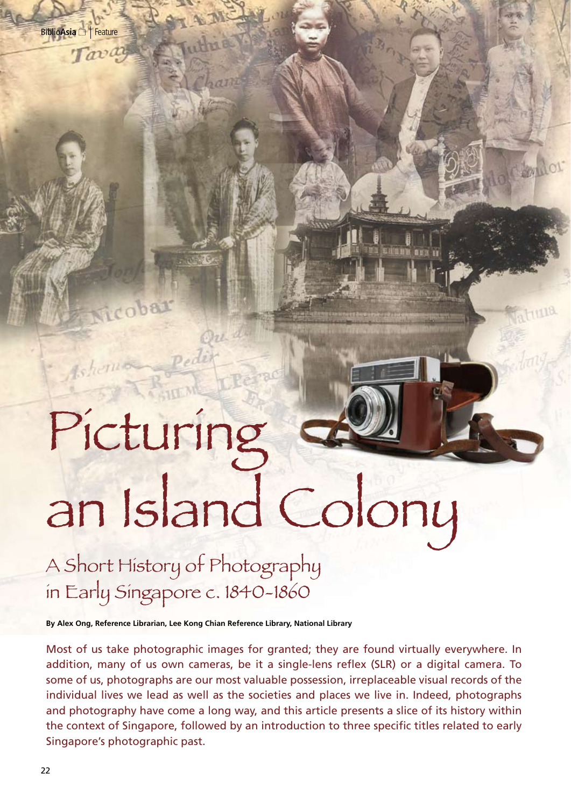Tava

icobar

# Picturing an Island Colony

A Short History of Photography in Early Singapore c. 1840-1860

**By Alex Ong, Reference Librarian, Lee Kong Chian Reference Library, National Library**

Most of us take photographic images for granted; they are found virtually everywhere. In addition, many of us own cameras, be it a single-lens reflex (SLR) or a digital camera. To some of us, photographs are our most valuable possession, irreplaceable visual records of the individual lives we lead as well as the societies and places we live in. Indeed, photographs and photography have come a long way, and this article presents a slice of its history within the context of Singapore, followed by an introduction to three specific titles related to early Singapore's photographic past.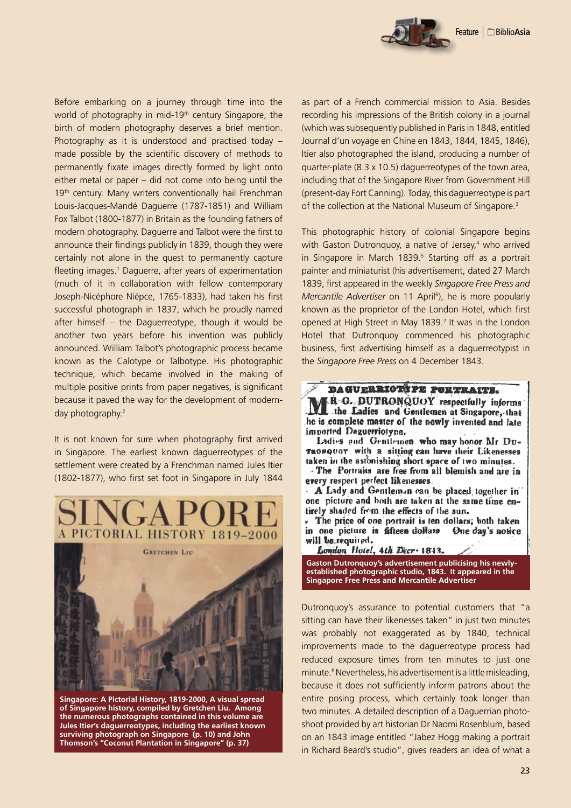Before embarking on a journey through time into the world of photography in mid-19<sup>th</sup> century Singapore, the birth of modern photography deserves a brief mention. Photography as it is understood and practised today – made possible by the scientific discovery of methods to permanently fixate images directly formed by light onto either metal or paper – did not come into being until the 19th century. Many writers conventionally hail Frenchman Louis-Jacques-Mandé Daguerre (1787-1851) and William Fox Talbot (1800-1877) in Britain as the founding fathers of modern photography. Daguerre and Talbot were the first to announce their findings publicly in 1839, though they were certainly not alone in the quest to permanently capture fleeting images.<sup>1</sup> Daguerre, after years of experimentation (much of it in collaboration with fellow contemporary Joseph-Nicéphore Niépce, 1765-1833), had taken his first successful photograph in 1837, which he proudly named after himself – the Daguerreotype, though it would be another two years before his invention was publicly announced. William Talbot's photographic process became known as the Calotype or Talbotype. His photographic technique, which became involved in the making of multiple positive prints from paper negatives, is significant because it paved the way for the development of modernday photography.2

It is not known for sure when photography first arrived in Singapore. The earliest known daguerreotypes of the settlement were created by a Frenchman named Jules Itier (1802-1877), who first set foot in Singapore in July 1844



**Singapore: A Pictorial History, 1819-2000, A visual spread of Singapore history, compiled by Gretchen Liu. Among the numerous photographs contained in this volume are Jules Itier's daguerreotypes, including the earliest known surviving photograph on Singapore (p. 10) and John Thomson's "Coconut Plantation in Singapore" (p. 37)**

as part of a French commercial mission to Asia. Besides recording his impressions of the British colony in a journal (which was subsequently published in Paris in 1848, entitled Journal d'un voyage en Chine en 1843, 1844, 1845, 1846), Itier also photographed the island, producing a number of quarter-plate (8.3 x 10.5) daguerreotypes of the town area, including that of the Singapore River from Government Hill (present-day Fort Canning). Today, this daguerreotype is part of the collection at the National Museum of Singapore.<sup>3</sup>

This photographic history of colonial Singapore begins with Gaston Dutronquoy, a native of Jersey,<sup>4</sup> who arrived in Singapore in March 1839.<sup>5</sup> Starting off as a portrait painter and miniaturist (his advertisement, dated 27 March 1839, first appeared in the weekly *Singapore Free Press and*  Mercantile Advertiser on 11 April<sup>6</sup>), he is more popularly known as the proprietor of the London Hotel, which first opened at High Street in May 1839.7 It was in the London Hotel that Dutronquoy commenced his photographic business, first advertising himself as a daguerreotypist in the *Singapore Free Press* on 4 December 1843.



R G. DUTRONQUOY respectfully informs the Ladies and Gentlemen at Singapore, that he is complete master of the newly invented and late imported Daguerriotyne.

Ladies and Gentlemen who may honor Mr Du-TRONQUOY with a sitting can have their Likenesses taken in the astonishing short space of two minutes.

The Portraits are free from all blemish and are in every respect perfect likenesses.

A Lady and Gentleman can be placed together in one picture and both are taken at the same time entirely shaded from the effects of the sun.

The price of one portrait is ten dollars; both taken in one picture is fifteen dollars One day's notice will be required.

London Hotel, 4th Decr 1813.

**Gaston Dutronquoy's advertisement publicising his newlyestablished photographic studio, 1843. It appeared in the Singapore Free Press and Mercantile Advertiser**

Dutronquoy's assurance to potential customers that "a sitting can have their likenesses taken" in just two minutes was probably not exaggerated as by 1840, technical improvements made to the daguerreotype process had reduced exposure times from ten minutes to just one minute.<sup>8</sup> Nevertheless, his advertisement is a little misleading, because it does not sufficiently inform patrons about the entire posing process, which certainly took longer than two minutes. A detailed description of a Daguerrian photoshoot provided by art historian Dr Naomi Rosenblum, based on an 1843 image entitled "Jabez Hogg making a portrait in Richard Beard's studio", gives readers an idea of what a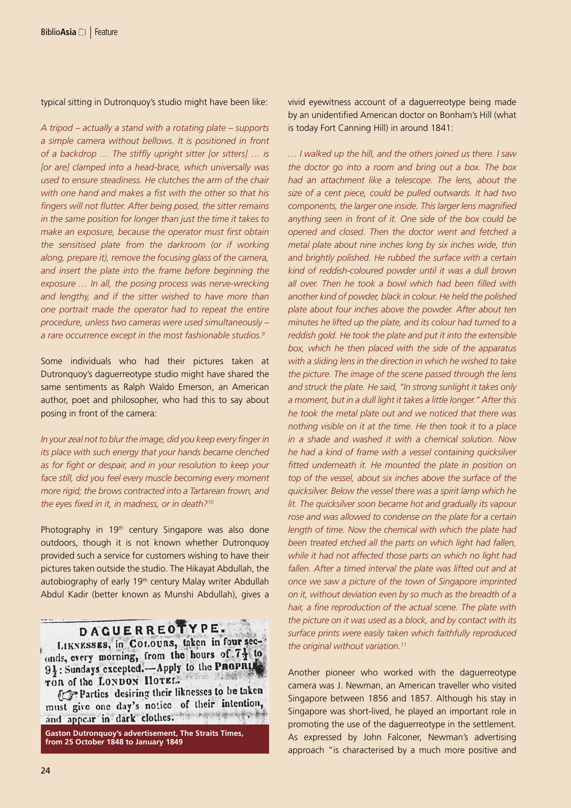typical sitting in Dutronquoy's studio might have been like:

*A tripod – actually a stand with a rotating plate – supports a simple camera without bellows. It is positioned in front of a backdrop … The stiffly upright sitter [or sitters] … is [or are] clamped into a head-brace, which universally was used to ensure steadiness. He clutches the arm of the chair with one hand and makes a fist with the other so that his fingers will not flutter. After being posed, the sitter remains in the same position for longer than just the time it takes to make an exposure, because the operator must first obtain the sensitised plate from the darkroom (or if working along, prepare it), remove the focusing glass of the camera, and insert the plate into the frame before beginning the exposure … In all, the posing process was nerve-wrecking and lengthy, and if the sitter wished to have more than one portrait made the operator had to repeat the entire procedure, unless two cameras were used simultaneously – a rare occurrence except in the most fashionable studios.9*

Some individuals who had their pictures taken at Dutronquoy's daguerreotype studio might have shared the same sentiments as Ralph Waldo Emerson, an American author, poet and philosopher, who had this to say about posing in front of the camera:

*In your zeal not to blur the image, did you keep every finger in its place with such energy that your hands became clenched as for fight or despair, and in your resolution to keep your face still, did you feel every muscle becoming every moment more rigid; the brows contracted into a Tartarean frown, and the eyes fixed in it, in madness, or in death?10*

Photography in 19<sup>th</sup> century Singapore was also done outdoors, though it is not known whether Dutronquoy provided such a service for customers wishing to have their pictures taken outside the studio. The Hikayat Abdullah, the autobiography of early 19<sup>th</sup> century Malay writer Abdullah Abdul Kadir (better known as Munshi Abdullah), gives a

## DAGUERREOTYPE.

LIKNESSES, in COLOURS, taken in four seconds, every morning, from the hours of  $7\frac{1}{2}$  to 9}: Sundays excepted. Apply to the PROPRIL SER TIMES TOR of the LONDON HOTEL.

Parties desiring their liknesses to be taken must give one day's notice of their intention, and appear in dark clothes.

**Gaston Dutronquoy's advertisement, The Straits Times, from 25 October 1848 to January 1849**

vivid eyewitness account of a daguerreotype being made by an unidentified American doctor on Bonham's Hill (what is today Fort Canning Hill) in around 1841:

*… I walked up the hill, and the others joined us there. I saw the doctor go into a room and bring out a box. The box had an attachment like a telescope. The lens, about the size of a cent piece, could be pulled outwards. It had two components, the larger one inside. This larger lens magnified anything seen in front of it. One side of the box could be opened and closed. Then the doctor went and fetched a metal plate about nine inches long by six inches wide, thin and brightly polished. He rubbed the surface with a certain kind of reddish-coloured powder until it was a dull brown all over. Then he took a bowl which had been filled with another kind of powder, black in colour. He held the polished plate about four inches above the powder. After about ten minutes he lifted up the plate, and its colour had turned to a reddish gold. He took the plate and put it into the extensible box, which he then placed with the side of the apparatus with a sliding lens in the direction in which he wished to take the picture. The image of the scene passed through the lens and struck the plate. He said, "In strong sunlight it takes only a moment, but in a dull light it takes a little longer." After this he took the metal plate out and we noticed that there was nothing visible on it at the time. He then took it to a place in a shade and washed it with a chemical solution. Now he had a kind of frame with a vessel containing quicksilver fitted underneath it. He mounted the plate in position on top of the vessel, about six inches above the surface of the quicksilver. Below the vessel there was a spirit lamp which he lit. The quicksilver soon became hot and gradually its vapour rose and was allowed to condense on the plate for a certain length of time. Now the chemical with which the plate had been treated etched all the parts on which light had fallen, while it had not affected those parts on which no light had fallen. After a timed interval the plate was lifted out and at once we saw a picture of the town of Singapore imprinted on it, without deviation even by so much as the breadth of a hair, a fine reproduction of the actual scene. The plate with the picture on it was used as a block, and by contact with its surface prints were easily taken which faithfully reproduced the original without variation.11*

Another pioneer who worked with the daguerreotype camera was J. Newman, an American traveller who visited Singapore between 1856 and 1857. Although his stay in Singapore was short-lived, he played an important role in promoting the use of the daguerreotype in the settlement. As expressed by John Falconer, Newman's advertising approach "is characterised by a much more positive and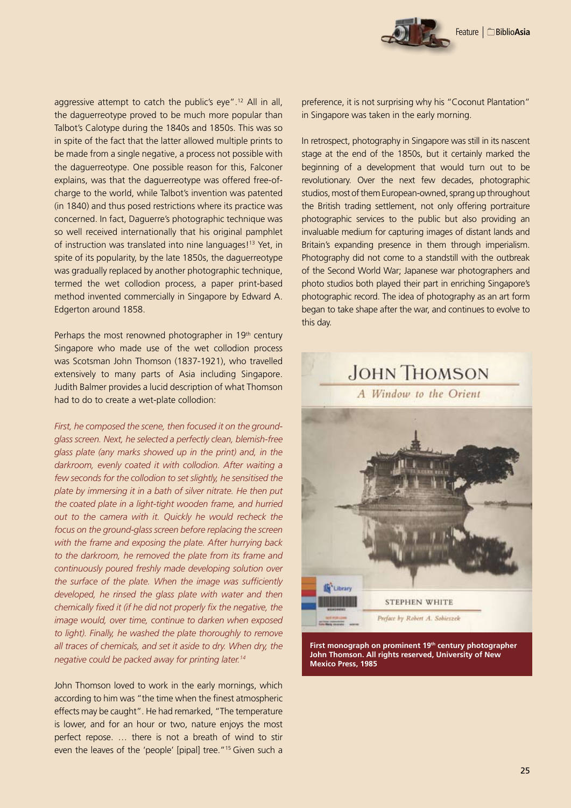aggressive attempt to catch the public's eye".12 All in all, the daguerreotype proved to be much more popular than Talbot's Calotype during the 1840s and 1850s. This was so in spite of the fact that the latter allowed multiple prints to be made from a single negative, a process not possible with the daguerreotype. One possible reason for this, Falconer explains, was that the daguerreotype was offered free-ofcharge to the world, while Talbot's invention was patented (in 1840) and thus posed restrictions where its practice was concerned. In fact, Daguerre's photographic technique was so well received internationally that his original pamphlet of instruction was translated into nine languages!13 Yet, in spite of its popularity, by the late 1850s, the daguerreotype was gradually replaced by another photographic technique, termed the wet collodion process, a paper print-based method invented commercially in Singapore by Edward A. Edgerton around 1858.

Perhaps the most renowned photographer in 19<sup>th</sup> century Singapore who made use of the wet collodion process was Scotsman John Thomson (1837-1921), who travelled extensively to many parts of Asia including Singapore. Judith Balmer provides a lucid description of what Thomson had to do to create a wet-plate collodion:

*First, he composed the scene, then focused it on the groundglass screen. Next, he selected a perfectly clean, blemish-free glass plate (any marks showed up in the print) and, in the darkroom, evenly coated it with collodion. After waiting a few seconds for the collodion to set slightly, he sensitised the plate by immersing it in a bath of silver nitrate. He then put the coated plate in a light-tight wooden frame, and hurried out to the camera with it. Quickly he would recheck the focus on the ground-glass screen before replacing the screen with the frame and exposing the plate. After hurrying back to the darkroom, he removed the plate from its frame and continuously poured freshly made developing solution over the surface of the plate. When the image was sufficiently developed, he rinsed the glass plate with water and then chemically fixed it (if he did not properly fix the negative, the image would, over time, continue to darken when exposed to light). Finally, he washed the plate thoroughly to remove all traces of chemicals, and set it aside to dry. When dry, the negative could be packed away for printing later.14*

John Thomson loved to work in the early mornings, which according to him was "the time when the finest atmospheric effects may be caught". He had remarked, "The temperature is lower, and for an hour or two, nature enjoys the most perfect repose. … there is not a breath of wind to stir even the leaves of the 'people' [pipal] tree."<sup>15</sup> Given such a

preference, it is not surprising why his "Coconut Plantation" in Singapore was taken in the early morning.

In retrospect, photography in Singapore was still in its nascent stage at the end of the 1850s, but it certainly marked the beginning of a development that would turn out to be revolutionary. Over the next few decades, photographic studios, most of them European-owned, sprang up throughout the British trading settlement, not only offering portraiture photographic services to the public but also providing an invaluable medium for capturing images of distant lands and Britain's expanding presence in them through imperialism. Photography did not come to a standstill with the outbreak of the Second World War; Japanese war photographers and photo studios both played their part in enriching Singapore's photographic record. The idea of photography as an art form began to take shape after the war, and continues to evolve to this day.



**First monograph on prominent 19th century photographer John Thomson. All rights reserved, University of New Mexico Press, 1985**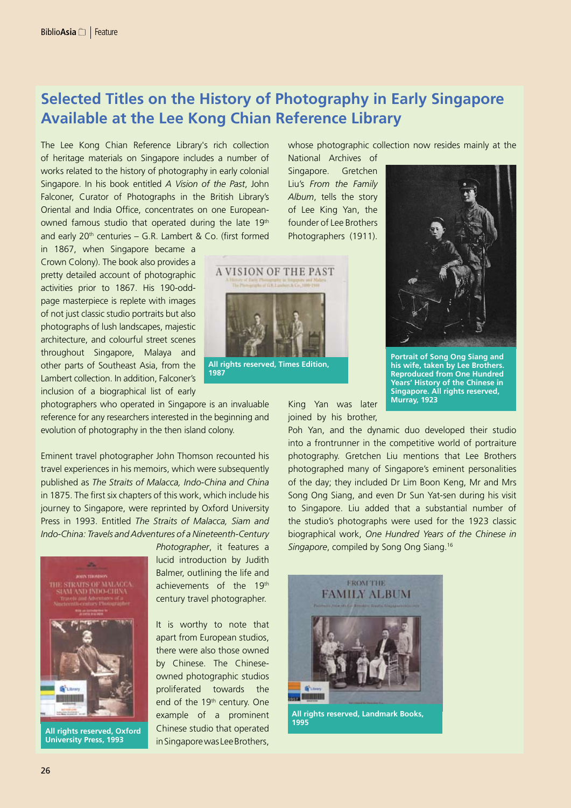## **Selected Titles on the History of Photography in Early Singapore Available at the Lee Kong Chian Reference Library**

The Lee Kong Chian Reference Library's rich collection of heritage materials on Singapore includes a number of works related to the history of photography in early colonial Singapore. In his book entitled *A Vision of the Past*, John Falconer, Curator of Photographs in the British Library's Oriental and India Office, concentrates on one Europeanowned famous studio that operated during the late 19th and early  $20<sup>th</sup>$  centuries – G.R. Lambert & Co. (first formed

in 1867, when Singapore became a Crown Colony). The book also provides a pretty detailed account of photographic activities prior to 1867. His 190-oddpage masterpiece is replete with images of not just classic studio portraits but also photographs of lush landscapes, majestic architecture, and colourful street scenes throughout Singapore, Malaya and other parts of Southeast Asia, from the Lambert collection. In addition, Falconer's inclusion of a biographical list of early

photographers who operated in Singapore is an invaluable reference for any researchers interested in the beginning and evolution of photography in the then island colony.

Eminent travel photographer John Thomson recounted his travel experiences in his memoirs, which were subsequently published as *The Straits of Malacca, Indo-China and China* in 1875. The first six chapters of this work, which include his journey to Singapore, were reprinted by Oxford University Press in 1993. Entitled *The Straits of Malacca, Siam and Indo-China: Travels and Adventures of a Nineteenth-Century* 



**All rights reserved, Oxford University Press, 1993**

*Photographer*, it features a lucid introduction by Judith Balmer, outlining the life and achievements of the 19th century travel photographer.

It is worthy to note that apart from European studios, there were also those owned by Chinese. The Chineseowned photographic studios proliferated towards the end of the 19<sup>th</sup> century. One example of a prominent Chinese studio that operated in Singapore was Lee Brothers,

whose photographic collection now resides mainly at the

National Archives of Singapore. Gretchen Liu's *From the Family Album*, tells the story of Lee King Yan, the founder of Lee Brothers Photographers (1911).



**1987**

King Yan was later joined by his brother,



**Portrait of Song Ong Siang and his wife, taken by Lee Brothers. Reproduced from One Hundred Years' History of the Chinese in Singapore. All rights reserved, Murray, 1923**

Poh Yan, and the dynamic duo developed their studio into a frontrunner in the competitive world of portraiture photography. Gretchen Liu mentions that Lee Brothers photographed many of Singapore's eminent personalities of the day; they included Dr Lim Boon Keng, Mr and Mrs Song Ong Siang, and even Dr Sun Yat-sen during his visit to Singapore. Liu added that a substantial number of the studio's photographs were used for the 1923 classic biographical work, *One Hundred Years of the Chinese in Singapore*, compiled by Song Ong Siang.16



**All rights reserved, Landmark Books, 1995**